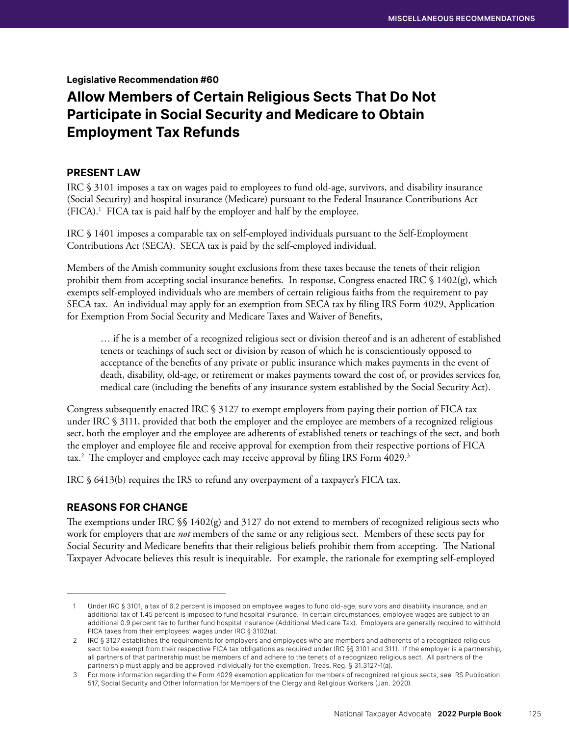### Legislative Recommendation #60

# Allow Members of Certain Religious Sects That Do Not Participate in Social Security and Medicare to Obtain Employment Tax Refunds

## PRESENT LAW

IRC § 3101 imposes a tax on wages paid to employees to fund old-age, survivors, and disability insurance (Social Security) and hospital insurance (Medicare) pursuant to the Federal Insurance Contributions Act (FICA).1 FICA tax is paid half by the employer and half by the employee.

IRC § 1401 imposes a comparable tax on self-employed individuals pursuant to the Self-Employment Contributions Act (SECA). SECA tax is paid by the self-employed individual.

Members of the Amish community sought exclusions from these taxes because the tenets of their religion prohibit them from accepting social insurance benefits. In response, Congress enacted IRC § 1402(g), which exempts self-employed individuals who are members of certain religious faiths from the requirement to pay SECA tax. An individual may apply for an exemption from SECA tax by filing IRS Form 4029, Application for Exemption From Social Security and Medicare Taxes and Waiver of Benefits,

… if he is a member of a recognized religious sect or division thereof and is an adherent of established tenets or teachings of such sect or division by reason of which he is conscientiously opposed to acceptance of the benefits of any private or public insurance which makes payments in the event of death, disability, old-age, or retirement or makes payments toward the cost of, or provides services for, medical care (including the benefits of any insurance system established by the Social Security Act).

Congress subsequently enacted IRC § 3127 to exempt employers from paying their portion of FICA tax under IRC § 3111, provided that both the employer and the employee are members of a recognized religious sect, both the employer and the employee are adherents of established tenets or teachings of the sect, and both the employer and employee file and receive approval for exemption from their respective portions of FICA tax.2 The employer and employee each may receive approval by filing IRS Form 4029.3

IRC § 6413(b) requires the IRS to refund any overpayment of a taxpayer's FICA tax.

# REASONS FOR CHANGE

The exemptions under IRC  $\S$  1402(g) and 3127 do not extend to members of recognized religious sects who work for employers that are *not* members of the same or any religious sect. Members of these sects pay for Social Security and Medicare benefits that their religious beliefs prohibit them from accepting. The National Taxpayer Advocate believes this result is inequitable. For example, the rationale for exempting self-employed

<sup>1</sup> Under IRC § 3101, a tax of 6.2 percent is imposed on employee wages to fund old-age, survivors and disability insurance, and an additional tax of 1.45 percent is imposed to fund hospital insurance. In certain circumstances, employee wages are subject to an additional 0.9 percent tax to further fund hospital insurance (Additional Medicare Tax). Employers are generally required to withhold FICA taxes from their employees' wages under IRC § 3102(a).

<sup>2</sup> IRC § 3127 establishes the requirements for employers and employees who are members and adherents of a recognized religious sect to be exempt from their respective FICA tax obligations as required under IRC §§ 3101 and 3111. If the employer is a partnership, all partners of that partnership must be members of and adhere to the tenets of a recognized religious sect. All partners of the partnership must apply and be approved individually for the exemption. Treas. Reg. § 31.3127-1(a).

<sup>3</sup> For more information regarding the Form 4029 exemption application for members of recognized religious sects, see IRS Publication 517, Social Security and Other Information for Members of the Clergy and Religious Workers (Jan. 2020).